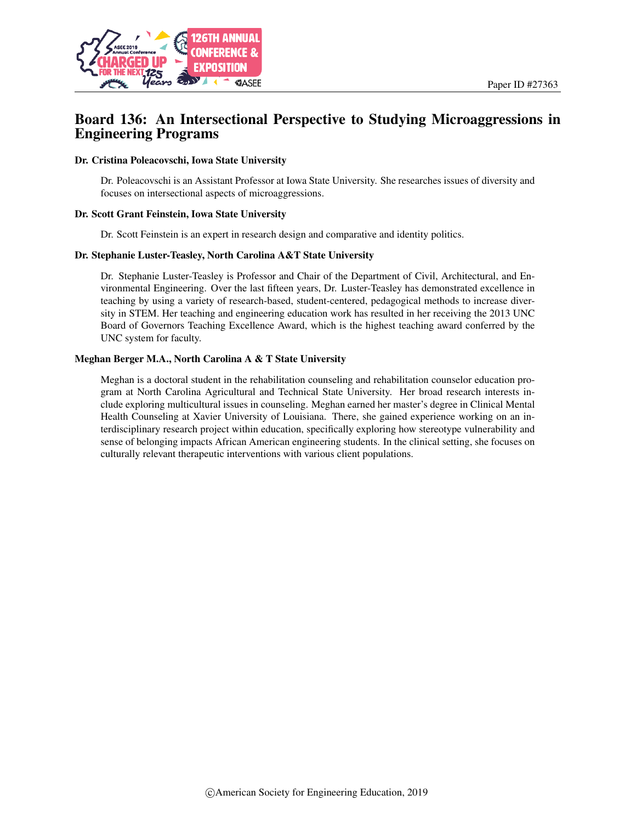

# Board 136: An Intersectional Perspective to Studying Microaggressions in Engineering Programs

#### Dr. Cristina Poleacovschi, Iowa State University

Dr. Poleacovschi is an Assistant Professor at Iowa State University. She researches issues of diversity and focuses on intersectional aspects of microaggressions.

#### Dr. Scott Grant Feinstein, Iowa State University

Dr. Scott Feinstein is an expert in research design and comparative and identity politics.

#### Dr. Stephanie Luster-Teasley, North Carolina A&T State University

Dr. Stephanie Luster-Teasley is Professor and Chair of the Department of Civil, Architectural, and Environmental Engineering. Over the last fifteen years, Dr. Luster-Teasley has demonstrated excellence in teaching by using a variety of research-based, student-centered, pedagogical methods to increase diversity in STEM. Her teaching and engineering education work has resulted in her receiving the 2013 UNC Board of Governors Teaching Excellence Award, which is the highest teaching award conferred by the UNC system for faculty.

#### Meghan Berger M.A., North Carolina A & T State University

Meghan is a doctoral student in the rehabilitation counseling and rehabilitation counselor education program at North Carolina Agricultural and Technical State University. Her broad research interests include exploring multicultural issues in counseling. Meghan earned her master's degree in Clinical Mental Health Counseling at Xavier University of Louisiana. There, she gained experience working on an interdisciplinary research project within education, specifically exploring how stereotype vulnerability and sense of belonging impacts African American engineering students. In the clinical setting, she focuses on culturally relevant therapeutic interventions with various client populations.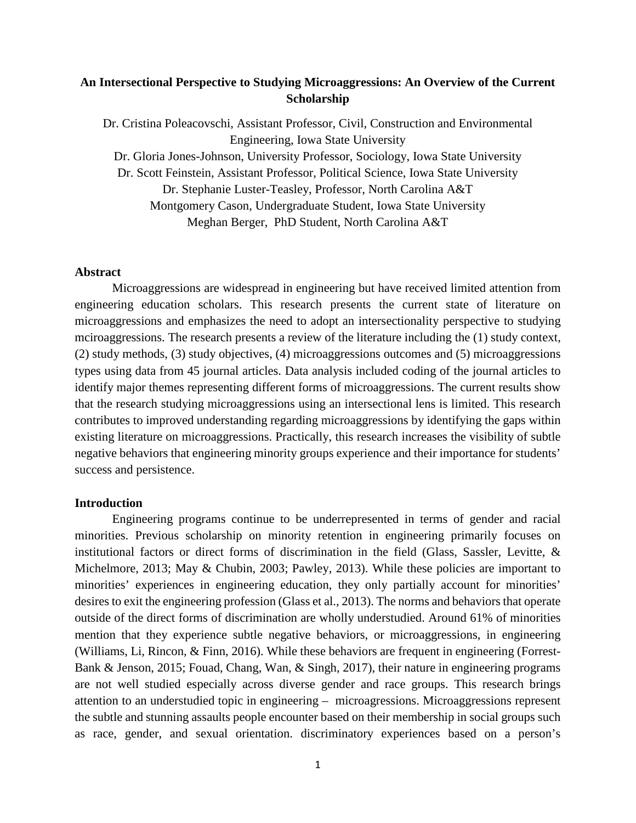## **An Intersectional Perspective to Studying Microaggressions: An Overview of the Current Scholarship**

Dr. Cristina Poleacovschi, Assistant Professor, Civil, Construction and Environmental Engineering, Iowa State University Dr. Gloria Jones-Johnson, University Professor, Sociology, Iowa State University Dr. Scott Feinstein, Assistant Professor, Political Science, Iowa State University Dr. Stephanie Luster-Teasley, Professor, North Carolina A&T Montgomery Cason, Undergraduate Student, Iowa State University Meghan Berger, PhD Student, North Carolina A&T

### **Abstract**

Microaggressions are widespread in engineering but have received limited attention from engineering education scholars. This research presents the current state of literature on microaggressions and emphasizes the need to adopt an intersectionality perspective to studying mciroaggressions. The research presents a review of the literature including the (1) study context, (2) study methods, (3) study objectives, (4) microaggressions outcomes and (5) microaggressions types using data from 45 journal articles. Data analysis included coding of the journal articles to identify major themes representing different forms of microaggressions. The current results show that the research studying microaggressions using an intersectional lens is limited. This research contributes to improved understanding regarding microaggressions by identifying the gaps within existing literature on microaggressions. Practically, this research increases the visibility of subtle negative behaviors that engineering minority groups experience and their importance for students' success and persistence.

#### **Introduction**

Engineering programs continue to be underrepresented in terms of gender and racial minorities. Previous scholarship on minority retention in engineering primarily focuses on institutional factors or direct forms of discrimination in the field (Glass, Sassler, Levitte, & Michelmore, 2013; May & Chubin, 2003; Pawley, 2013). While these policies are important to minorities' experiences in engineering education, they only partially account for minorities' desires to exit the engineering profession (Glass et al., 2013). The norms and behaviors that operate outside of the direct forms of discrimination are wholly understudied. Around 61% of minorities mention that they experience subtle negative behaviors, or microaggressions, in engineering (Williams, Li, Rincon, & Finn, 2016). While these behaviors are frequent in engineering (Forrest-Bank & Jenson, 2015; Fouad, Chang, Wan, & Singh, 2017), their nature in engineering programs are not well studied especially across diverse gender and race groups. This research brings attention to an understudied topic in engineering – microagressions. Microaggressions represent the subtle and stunning assaults people encounter based on their membership in social groups such as race, gender, and sexual orientation. discriminatory experiences based on a person's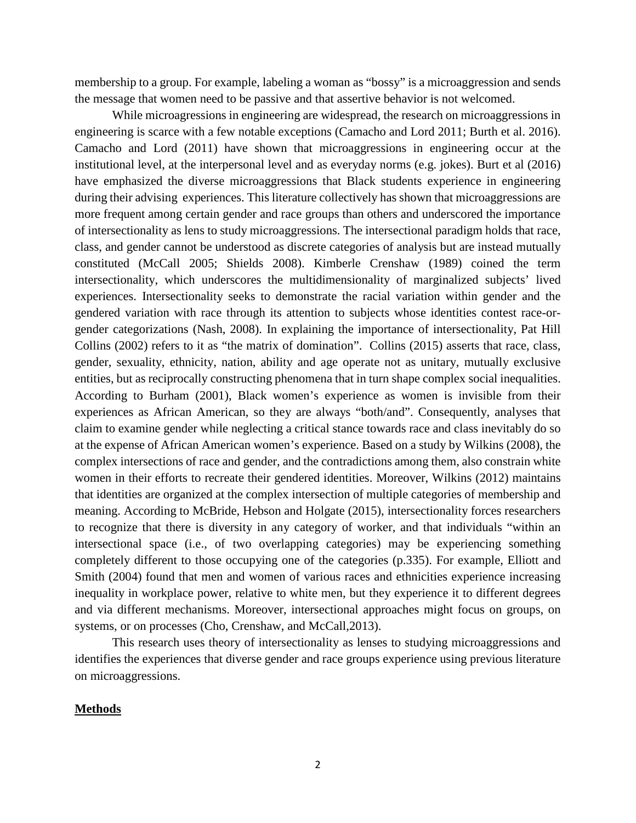membership to a group. For example, labeling a woman as "bossy" is a microaggression and sends the message that women need to be passive and that assertive behavior is not welcomed.

While microagressions in engineering are widespread, the research on microaggressions in engineering is scarce with a few notable exceptions (Camacho and Lord 2011; Burth et al. 2016). Camacho and Lord (2011) have shown that microaggressions in engineering occur at the institutional level, at the interpersonal level and as everyday norms (e.g. jokes). Burt et al (2016) have emphasized the diverse microaggressions that Black students experience in engineering during their advising experiences. This literature collectively has shown that microaggressions are more frequent among certain gender and race groups than others and underscored the importance of intersectionality as lens to study microaggressions. The intersectional paradigm holds that race, class, and gender cannot be understood as discrete categories of analysis but are instead mutually constituted (McCall 2005; Shields 2008). Kimberle Crenshaw (1989) coined the term intersectionality, which underscores the multidimensionality of marginalized subjects' lived experiences. Intersectionality seeks to demonstrate the racial variation within gender and the gendered variation with race through its attention to subjects whose identities contest race-orgender categorizations (Nash, 2008). In explaining the importance of intersectionality, Pat Hill Collins (2002) refers to it as "the matrix of domination". Collins (2015) asserts that race, class, gender, sexuality, ethnicity, nation, ability and age operate not as unitary, mutually exclusive entities, but as reciprocally constructing phenomena that in turn shape complex social inequalities. According to Burham (2001), Black women's experience as women is invisible from their experiences as African American, so they are always "both/and". Consequently, analyses that claim to examine gender while neglecting a critical stance towards race and class inevitably do so at the expense of African American women's experience. Based on a study by Wilkins (2008), the complex intersections of race and gender, and the contradictions among them, also constrain white women in their efforts to recreate their gendered identities. Moreover, Wilkins (2012) maintains that identities are organized at the complex intersection of multiple categories of membership and meaning. According to McBride, Hebson and Holgate (2015), intersectionality forces researchers to recognize that there is diversity in any category of worker, and that individuals "within an intersectional space (i.e., of two overlapping categories) may be experiencing something completely different to those occupying one of the categories (p.335). For example, Elliott and Smith (2004) found that men and women of various races and ethnicities experience increasing inequality in workplace power, relative to white men, but they experience it to different degrees and via different mechanisms. Moreover, intersectional approaches might focus on groups, on systems, or on processes (Cho, Crenshaw, and McCall, 2013).

This research uses theory of intersectionality as lenses to studying microaggressions and identifies the experiences that diverse gender and race groups experience using previous literature on microaggressions.

#### **Methods**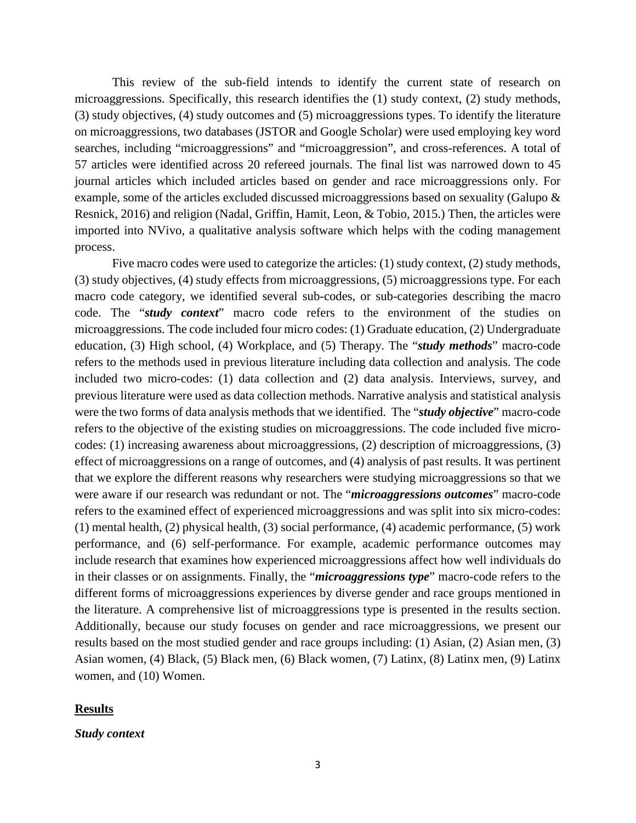This review of the sub-field intends to identify the current state of research on microaggressions. Specifically, this research identifies the (1) study context, (2) study methods, (3) study objectives, (4) study outcomes and (5) microaggressions types. To identify the literature on microaggressions, two databases (JSTOR and Google Scholar) were used employing key word searches, including "microaggressions" and "microaggression", and cross-references. A total of 57 articles were identified across 20 refereed journals. The final list was narrowed down to 45 journal articles which included articles based on gender and race microaggressions only. For example, some of the articles excluded discussed microaggressions based on sexuality (Galupo & Resnick, 2016) and religion (Nadal, Griffin, Hamit, Leon, & Tobio, 2015.) Then, the articles were imported into NVivo, a qualitative analysis software which helps with the coding management process.

Five macro codes were used to categorize the articles: (1) study context, (2) study methods, (3) study objectives, (4) study effects from microaggressions, (5) microaggressions type. For each macro code category, we identified several sub-codes, or sub-categories describing the macro code. The "*study context*" macro code refers to the environment of the studies on microaggressions. The code included four micro codes: (1) Graduate education, (2) Undergraduate education, (3) High school, (4) Workplace, and (5) Therapy. The "*study methods*" macro-code refers to the methods used in previous literature including data collection and analysis. The code included two micro-codes: (1) data collection and (2) data analysis. Interviews, survey, and previous literature were used as data collection methods. Narrative analysis and statistical analysis were the two forms of data analysis methods that we identified. The "*study objective*" macro-code refers to the objective of the existing studies on microaggressions. The code included five microcodes: (1) increasing awareness about microaggressions, (2) description of microaggressions, (3) effect of microaggressions on a range of outcomes, and (4) analysis of past results. It was pertinent that we explore the different reasons why researchers were studying microaggressions so that we were aware if our research was redundant or not. The "*microaggressions outcomes*" macro-code refers to the examined effect of experienced microaggressions and was split into six micro-codes: (1) mental health, (2) physical health, (3) social performance, (4) academic performance, (5) work performance, and (6) self-performance. For example, academic performance outcomes may include research that examines how experienced microaggressions affect how well individuals do in their classes or on assignments. Finally, the "*microaggressions type*" macro-code refers to the different forms of microaggressions experiences by diverse gender and race groups mentioned in the literature. A comprehensive list of microaggressions type is presented in the results section. Additionally, because our study focuses on gender and race microaggressions, we present our results based on the most studied gender and race groups including: (1) Asian, (2) Asian men, (3) Asian women, (4) Black, (5) Black men, (6) Black women, (7) Latinx, (8) Latinx men, (9) Latinx women, and (10) Women.

### **Results**

#### *Study context*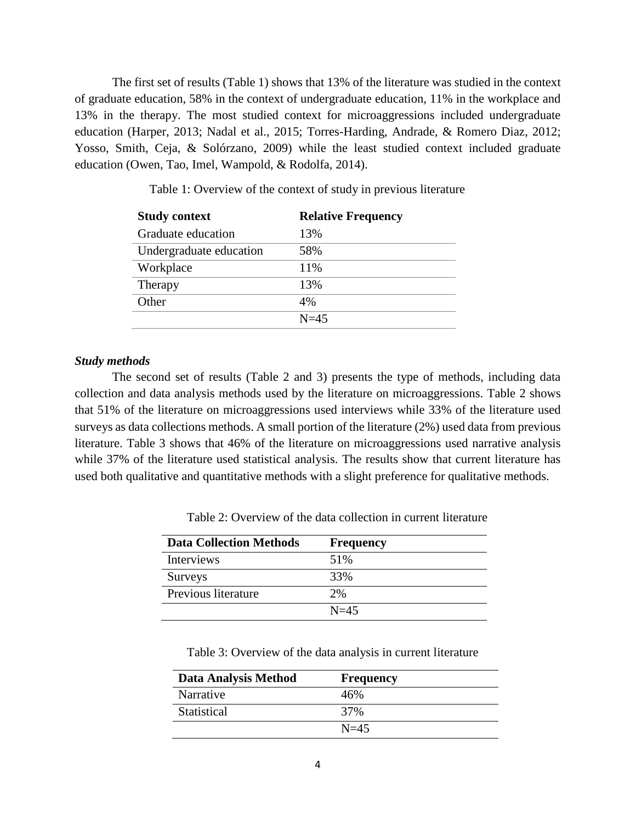The first set of results (Table 1) shows that 13% of the literature was studied in the context of graduate education, 58% in the context of undergraduate education, 11% in the workplace and 13% in the therapy. The most studied context for microaggressions included undergraduate education (Harper, 2013; Nadal et al., 2015; Torres-Harding, Andrade, & Romero Diaz, 2012; Yosso, Smith, Ceja, & Solórzano, 2009) while the least studied context included graduate education (Owen, Tao, Imel, Wampold, & Rodolfa, 2014).

| <b>Study context</b>    | <b>Relative Frequency</b> |
|-------------------------|---------------------------|
| Graduate education      | 13%                       |
| Undergraduate education | 58%                       |
| Workplace               | 11%                       |
| Therapy                 | 13%                       |
| Other                   | 4%                        |
|                         | $N=45$                    |

Table 1: Overview of the context of study in previous literature

#### *Study methods*

The second set of results (Table 2 and 3) presents the type of methods, including data collection and data analysis methods used by the literature on microaggressions. Table 2 shows that 51% of the literature on microaggressions used interviews while 33% of the literature used surveys as data collections methods. A small portion of the literature (2%) used data from previous literature. Table 3 shows that 46% of the literature on microaggressions used narrative analysis while 37% of the literature used statistical analysis. The results show that current literature has used both qualitative and quantitative methods with a slight preference for qualitative methods.

| <b>Data Collection Methods</b> | <b>Frequency</b> |
|--------------------------------|------------------|
| <b>Interviews</b>              | 51%              |
| Surveys                        | 33%              |
| Previous literature            | 2%               |
|                                | $N=45$           |

Table 2: Overview of the data collection in current literature

Table 3: Overview of the data analysis in current literature

| <b>Data Analysis Method</b> | <b>Frequency</b> |  |
|-----------------------------|------------------|--|
| Narrative                   | 46%              |  |
| Statistical                 | 37%              |  |
|                             | $N=45$           |  |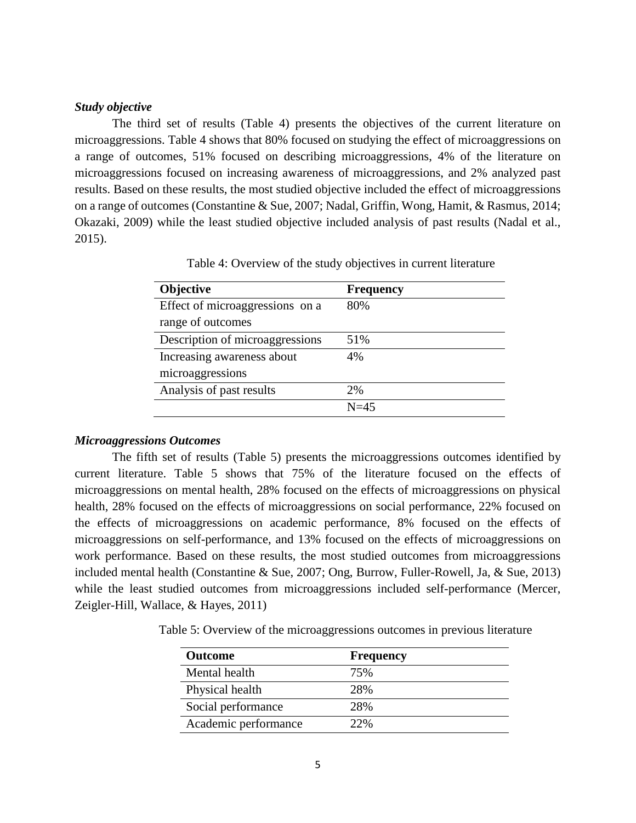#### *Study objective*

The third set of results (Table 4) presents the objectives of the current literature on microaggressions. Table 4 shows that 80% focused on studying the effect of microaggressions on a range of outcomes, 51% focused on describing microaggressions, 4% of the literature on microaggressions focused on increasing awareness of microaggressions, and 2% analyzed past results. Based on these results, the most studied objective included the effect of microaggressions on a range of outcomes (Constantine & Sue, 2007; Nadal, Griffin, Wong, Hamit, & Rasmus, 2014; Okazaki, 2009) while the least studied objective included analysis of past results (Nadal et al., 2015).

| <b>Objective</b>                | <b>Frequency</b> |
|---------------------------------|------------------|
| Effect of microaggressions on a | 80%              |
| range of outcomes               |                  |
| Description of microaggressions | 51%              |
| Increasing awareness about      | 4%               |
| microaggressions                |                  |
| Analysis of past results        | 2%               |
|                                 | $N=45$           |

Table 4: Overview of the study objectives in current literature

#### *Microaggressions Outcomes*

The fifth set of results (Table 5) presents the microaggressions outcomes identified by current literature. Table 5 shows that 75% of the literature focused on the effects of microaggressions on mental health, 28% focused on the effects of microaggressions on physical health, 28% focused on the effects of microaggressions on social performance, 22% focused on the effects of microaggressions on academic performance, 8% focused on the effects of microaggressions on self-performance, and 13% focused on the effects of microaggressions on work performance. Based on these results, the most studied outcomes from microaggressions included mental health (Constantine & Sue, 2007; Ong, Burrow, Fuller-Rowell, Ja, & Sue, 2013) while the least studied outcomes from microaggressions included self-performance (Mercer, Zeigler-Hill, Wallace, & Hayes, 2011)

Table 5: Overview of the microaggressions outcomes in previous literature

| <b>Outcome</b>       | <b>Frequency</b> |  |
|----------------------|------------------|--|
| Mental health        | 75%              |  |
| Physical health      | 2.8%             |  |
| Social performance   | 2.8%             |  |
| Academic performance | 22%              |  |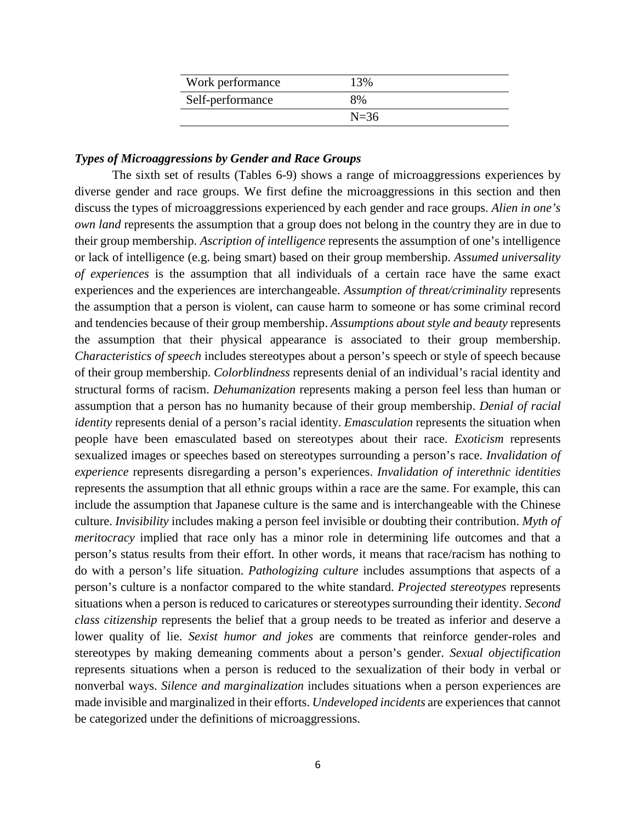| Work performance | 13%      |
|------------------|----------|
| Self-performance | 8%       |
|                  | $N = 36$ |

#### *Types of Microaggressions by Gender and Race Groups*

The sixth set of results (Tables 6-9) shows a range of microaggressions experiences by diverse gender and race groups. We first define the microaggressions in this section and then discuss the types of microaggressions experienced by each gender and race groups. *Alien in one's own land* represents the assumption that a group does not belong in the country they are in due to their group membership. *Ascription of intelligence* represents the assumption of one's intelligence or lack of intelligence (e.g. being smart) based on their group membership. *Assumed universality of experiences* is the assumption that all individuals of a certain race have the same exact experiences and the experiences are interchangeable. *Assumption of threat/criminality* represents the assumption that a person is violent, can cause harm to someone or has some criminal record and tendencies because of their group membership. *Assumptions about style and beauty* represents the assumption that their physical appearance is associated to their group membership. *Characteristics of speech* includes stereotypes about a person's speech or style of speech because of their group membership. *Colorblindness* represents denial of an individual's racial identity and structural forms of racism. *Dehumanization* represents making a person feel less than human or assumption that a person has no humanity because of their group membership. *Denial of racial identity* represents denial of a person's racial identity. *Emasculation* represents the situation when people have been emasculated based on stereotypes about their race. *Exoticism* represents sexualized images or speeches based on stereotypes surrounding a person's race. *Invalidation of experience* represents disregarding a person's experiences. *Invalidation of interethnic identities*  represents the assumption that all ethnic groups within a race are the same. For example, this can include the assumption that Japanese culture is the same and is interchangeable with the Chinese culture. *Invisibility* includes making a person feel invisible or doubting their contribution. *Myth of meritocracy* implied that race only has a minor role in determining life outcomes and that a person's status results from their effort. In other words, it means that race/racism has nothing to do with a person's life situation. *Pathologizing culture* includes assumptions that aspects of a person's culture is a nonfactor compared to the white standard. *Projected stereotypes* represents situations when a person is reduced to caricatures or stereotypes surrounding their identity. *Second class citizenship* represents the belief that a group needs to be treated as inferior and deserve a lower quality of lie. *Sexist humor and jokes* are comments that reinforce gender-roles and stereotypes by making demeaning comments about a person's gender. *Sexual objectification* represents situations when a person is reduced to the sexualization of their body in verbal or nonverbal ways. *Silence and marginalization* includes situations when a person experiences are made invisible and marginalized in their efforts. *Undeveloped incidents* are experiences that cannot be categorized under the definitions of microaggressions.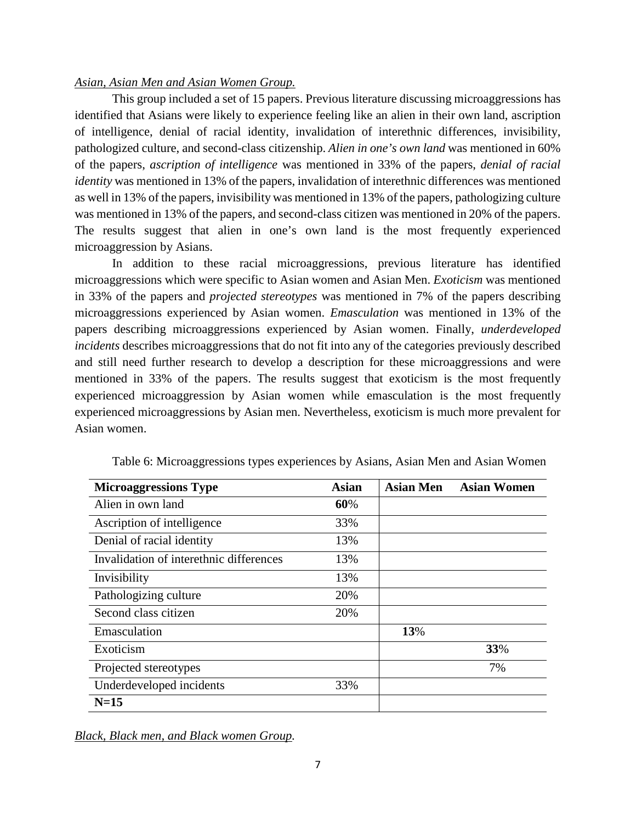### *Asian, Asian Men and Asian Women Group.*

This group included a set of 15 papers. Previous literature discussing microaggressions has identified that Asians were likely to experience feeling like an alien in their own land, ascription of intelligence, denial of racial identity, invalidation of interethnic differences, invisibility, pathologized culture, and second-class citizenship. *Alien in one's own land* was mentioned in 60% of the papers, *ascription of intelligence* was mentioned in 33% of the papers, *denial of racial identity* was mentioned in 13% of the papers, invalidation of interethnic differences was mentioned as well in 13% of the papers, invisibility was mentioned in 13% of the papers, pathologizing culture was mentioned in 13% of the papers, and second-class citizen was mentioned in 20% of the papers. The results suggest that alien in one's own land is the most frequently experienced microaggression by Asians.

In addition to these racial microaggressions, previous literature has identified microaggressions which were specific to Asian women and Asian Men. *Exoticism* was mentioned in 33% of the papers and *projected stereotypes* was mentioned in 7% of the papers describing microaggressions experienced by Asian women. *Emasculation* was mentioned in 13% of the papers describing microaggressions experienced by Asian women. Finally, *underdeveloped incidents* describes microaggressions that do not fit into any of the categories previously described and still need further research to develop a description for these microaggressions and were mentioned in 33% of the papers. The results suggest that exoticism is the most frequently experienced microaggression by Asian women while emasculation is the most frequently experienced microaggressions by Asian men. Nevertheless, exoticism is much more prevalent for Asian women.

| <b>Microaggressions Type</b>            | <b>Asian</b> | <b>Asian Men</b> | <b>Asian Women</b> |
|-----------------------------------------|--------------|------------------|--------------------|
| Alien in own land                       | 60%          |                  |                    |
| Ascription of intelligence              | 33%          |                  |                    |
| Denial of racial identity               | 13%          |                  |                    |
| Invalidation of interethnic differences | 13%          |                  |                    |
| Invisibility                            | 13%          |                  |                    |
| Pathologizing culture                   | 20%          |                  |                    |
| Second class citizen                    | 20%          |                  |                    |
| Emasculation                            |              | 13%              |                    |
| Exoticism                               |              |                  | 33%                |
| Projected stereotypes                   |              |                  | 7%                 |
| Underdeveloped incidents                | 33%          |                  |                    |
| $N=15$                                  |              |                  |                    |

Table 6: Microaggressions types experiences by Asians, Asian Men and Asian Women

*Black, Black men, and Black women Group.*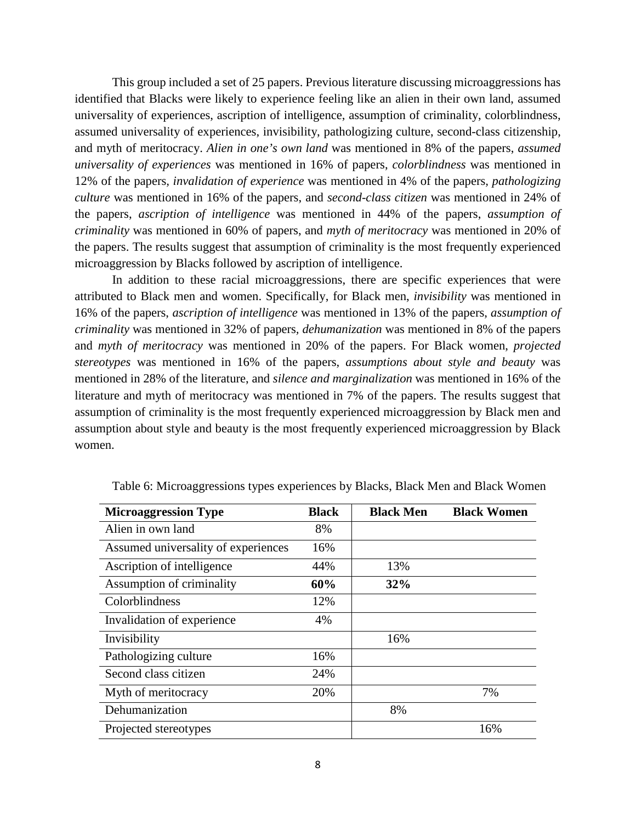This group included a set of 25 papers. Previous literature discussing microaggressions has identified that Blacks were likely to experience feeling like an alien in their own land, assumed universality of experiences, ascription of intelligence, assumption of criminality, colorblindness, assumed universality of experiences, invisibility, pathologizing culture, second-class citizenship, and myth of meritocracy. *Alien in one's own land* was mentioned in 8% of the papers, *assumed universality of experiences* was mentioned in 16% of papers, *colorblindness* was mentioned in 12% of the papers*, invalidation of experience* was mentioned in 4% of the papers*, pathologizing culture* was mentioned in 16% of the papers, and *second-class citizen* was mentioned in 24% of the papers, *ascription of intelligence* was mentioned in 44% of the papers, *assumption of criminality* was mentioned in 60% of papers, and *myth of meritocracy* was mentioned in 20% of the papers. The results suggest that assumption of criminality is the most frequently experienced microaggression by Blacks followed by ascription of intelligence.

In addition to these racial microaggressions, there are specific experiences that were attributed to Black men and women. Specifically, for Black men, *invisibility* was mentioned in 16% of the papers, *ascription of intelligence* was mentioned in 13% of the papers, *assumption of criminality* was mentioned in 32% of papers*, dehumanization* was mentioned in 8% of the papers and *myth of meritocracy* was mentioned in 20% of the papers. For Black women, *projected stereotypes* was mentioned in 16% of the papers, *assumptions about style and beauty* was mentioned in 28% of the literature, and *silence and marginalization* was mentioned in 16% of the literature and myth of meritocracy was mentioned in 7% of the papers. The results suggest that assumption of criminality is the most frequently experienced microaggression by Black men and assumption about style and beauty is the most frequently experienced microaggression by Black women.

| <b>Microaggression Type</b>         | <b>Black</b> | <b>Black Men</b> | <b>Black Women</b> |
|-------------------------------------|--------------|------------------|--------------------|
| Alien in own land                   | 8%           |                  |                    |
| Assumed universality of experiences | 16%          |                  |                    |
| Ascription of intelligence          | 44%          | 13%              |                    |
| Assumption of criminality           | 60%          | 32%              |                    |
| Colorblindness                      | 12%          |                  |                    |
| Invalidation of experience          | 4%           |                  |                    |
| Invisibility                        |              | 16%              |                    |
| Pathologizing culture               | 16%          |                  |                    |
| Second class citizen                | 24%          |                  |                    |
| Myth of meritocracy                 | 20%          |                  | 7%                 |
| Dehumanization                      |              | 8%               |                    |
| Projected stereotypes               |              |                  | 16%                |

Table 6: Microaggressions types experiences by Blacks, Black Men and Black Women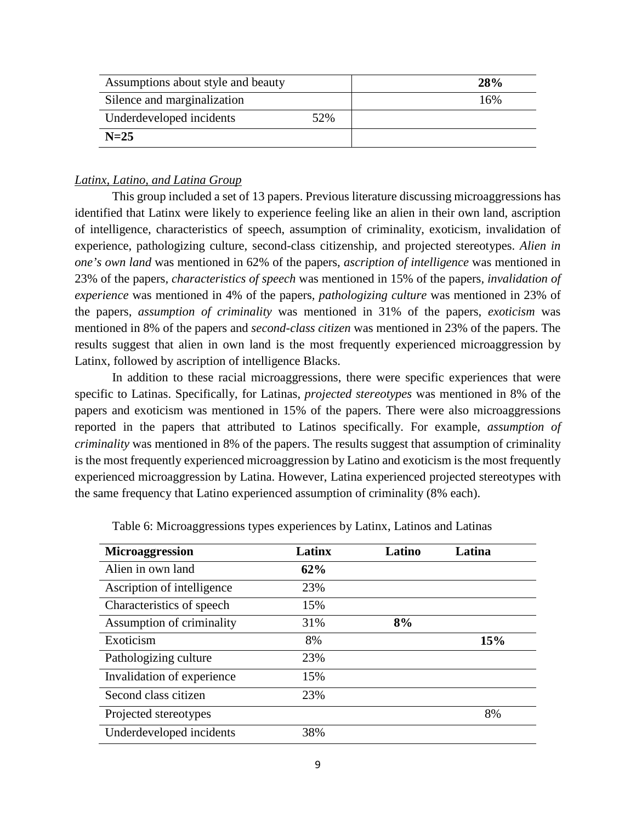| Assumptions about style and beauty | <b>28%</b> |     |
|------------------------------------|------------|-----|
| Silence and marginalization        |            | 16% |
| Underdeveloped incidents           | 52%        |     |
| $N=25$                             |            |     |

### *Latinx, Latino, and Latina Group*

This group included a set of 13 papers. Previous literature discussing microaggressions has identified that Latinx were likely to experience feeling like an alien in their own land, ascription of intelligence, characteristics of speech, assumption of criminality, exoticism, invalidation of experience, pathologizing culture, second-class citizenship, and projected stereotypes. *Alien in one's own land* was mentioned in 62% of the papers, *ascription of intelligence* was mentioned in 23% of the papers*, characteristics of speech* was mentioned in 15% of the papers*, invalidation of experience* was mentioned in 4% of the papers*, pathologizing culture* was mentioned in 23% of the papers, *assumption of criminality* was mentioned in 31% of the papers, *exoticism* was mentioned in 8% of the papers and *second-class citizen* was mentioned in 23% of the papers. The results suggest that alien in own land is the most frequently experienced microaggression by Latinx, followed by ascription of intelligence Blacks.

In addition to these racial microaggressions, there were specific experiences that were specific to Latinas. Specifically, for Latinas, *projected stereotypes* was mentioned in 8% of the papers and exoticism was mentioned in 15% of the papers. There were also microaggressions reported in the papers that attributed to Latinos specifically. For example, *assumption of criminality* was mentioned in 8% of the papers. The results suggest that assumption of criminality is the most frequently experienced microaggression by Latino and exoticism is the most frequently experienced microaggression by Latina. However, Latina experienced projected stereotypes with the same frequency that Latino experienced assumption of criminality (8% each).

| Microaggression            | Latinx | Latino | Latina |
|----------------------------|--------|--------|--------|
| Alien in own land          | 62%    |        |        |
| Ascription of intelligence | 23%    |        |        |
| Characteristics of speech  | 15%    |        |        |
| Assumption of criminality  | 31%    | 8%     |        |
| Exoticism                  | 8%     |        | 15%    |
| Pathologizing culture      | 23%    |        |        |
| Invalidation of experience | 15%    |        |        |
| Second class citizen       | 23%    |        |        |
| Projected stereotypes      |        |        | 8%     |
| Underdeveloped incidents   | 38%    |        |        |

Table 6: Microaggressions types experiences by Latinx, Latinos and Latinas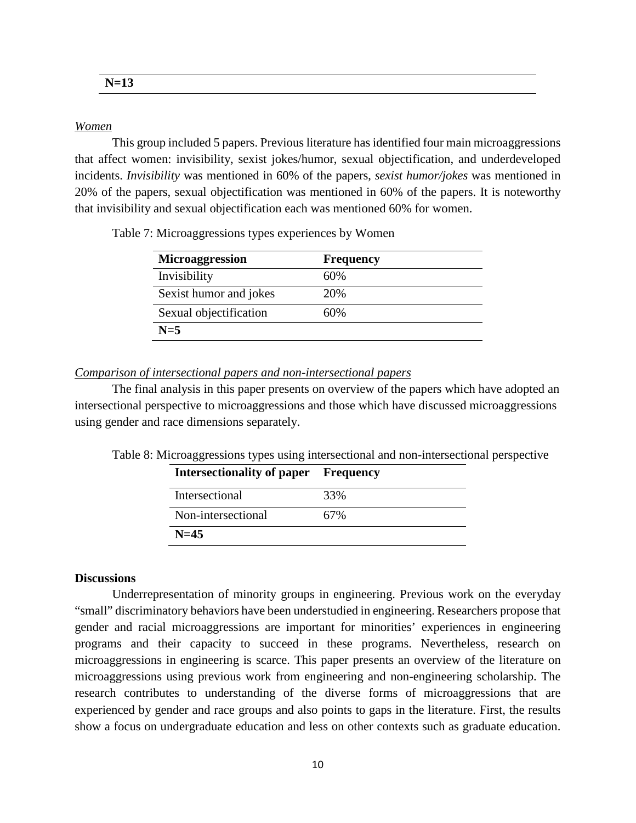**N=13**

### *Women*

This group included 5 papers. Previous literature has identified four main microaggressions that affect women: invisibility, sexist jokes/humor, sexual objectification, and underdeveloped incidents. *Invisibility* was mentioned in 60% of the papers, *sexist humor/jokes* was mentioned in 20% of the papers, sexual objectification was mentioned in 60% of the papers. It is noteworthy that invisibility and sexual objectification each was mentioned 60% for women.

| <b>Microaggression</b> | <b>Frequency</b> |  |
|------------------------|------------------|--|
| Invisibility           | 60%              |  |
| Sexist humor and jokes | 20%              |  |
| Sexual objectification | 60%              |  |
| $N=5$                  |                  |  |

Table 7: Microaggressions types experiences by Women

#### *Comparison of intersectional papers and non-intersectional papers*

The final analysis in this paper presents on overview of the papers which have adopted an intersectional perspective to microaggressions and those which have discussed microaggressions using gender and race dimensions separately.

|  |  |  | Table 8: Microaggressions types using intersectional and non-intersectional perspective |  |
|--|--|--|-----------------------------------------------------------------------------------------|--|
|  |  |  |                                                                                         |  |

| <b>Intersectionality of paper Frequency</b> |     |
|---------------------------------------------|-----|
| Intersectional                              | 33% |
| Non-intersectional                          | 67% |
| $N=45$                                      |     |

### **Discussions**

Underrepresentation of minority groups in engineering. Previous work on the everyday "small" discriminatory behaviors have been understudied in engineering. Researchers propose that gender and racial microaggressions are important for minorities' experiences in engineering programs and their capacity to succeed in these programs. Nevertheless, research on microaggressions in engineering is scarce. This paper presents an overview of the literature on microaggressions using previous work from engineering and non-engineering scholarship. The research contributes to understanding of the diverse forms of microaggressions that are experienced by gender and race groups and also points to gaps in the literature. First, the results show a focus on undergraduate education and less on other contexts such as graduate education.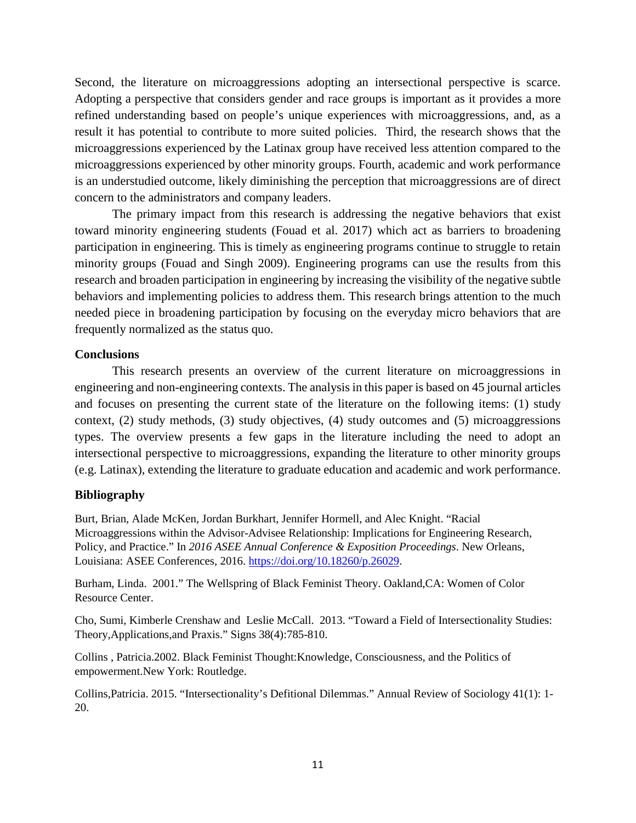Second, the literature on microaggressions adopting an intersectional perspective is scarce. Adopting a perspective that considers gender and race groups is important as it provides a more refined understanding based on people's unique experiences with microaggressions, and, as a result it has potential to contribute to more suited policies. Third, the research shows that the microaggressions experienced by the Latinax group have received less attention compared to the microaggressions experienced by other minority groups. Fourth, academic and work performance is an understudied outcome, likely diminishing the perception that microaggressions are of direct concern to the administrators and company leaders.

The primary impact from this research is addressing the negative behaviors that exist toward minority engineering students (Fouad et al. 2017) which act as barriers to broadening participation in engineering. This is timely as engineering programs continue to struggle to retain minority groups (Fouad and Singh 2009). Engineering programs can use the results from this research and broaden participation in engineering by increasing the visibility of the negative subtle behaviors and implementing policies to address them. This research brings attention to the much needed piece in broadening participation by focusing on the everyday micro behaviors that are frequently normalized as the status quo.

### **Conclusions**

This research presents an overview of the current literature on microaggressions in engineering and non-engineering contexts. The analysis in this paper is based on 45 journal articles and focuses on presenting the current state of the literature on the following items: (1) study context, (2) study methods, (3) study objectives, (4) study outcomes and (5) microaggressions types. The overview presents a few gaps in the literature including the need to adopt an intersectional perspective to microaggressions, expanding the literature to other minority groups (e.g. Latinax), extending the literature to graduate education and academic and work performance.

### **Bibliography**

Burt, Brian, Alade McKen, Jordan Burkhart, Jennifer Hormell, and Alec Knight. "Racial Microaggressions within the Advisor-Advisee Relationship: Implications for Engineering Research, Policy, and Practice." In *2016 ASEE Annual Conference & Exposition Proceedings*. New Orleans, Louisiana: ASEE Conferences, 2016. [https://doi.org/10.18260/p.26029.](https://doi.org/10.18260/p.26029)

Burham, Linda. 2001." The Wellspring of Black Feminist Theory. Oakland,CA: Women of Color Resource Center.

Cho, Sumi, Kimberle Crenshaw and Leslie McCall. 2013. "Toward a Field of Intersectionality Studies: Theory,Applications,and Praxis." Signs 38(4):785-810.

Collins , Patricia.2002. Black Feminist Thought:Knowledge, Consciousness, and the Politics of empowerment.New York: Routledge.

Collins,Patricia. 2015. "Intersectionality's Defitional Dilemmas." Annual Review of Sociology 41(1): 1- 20.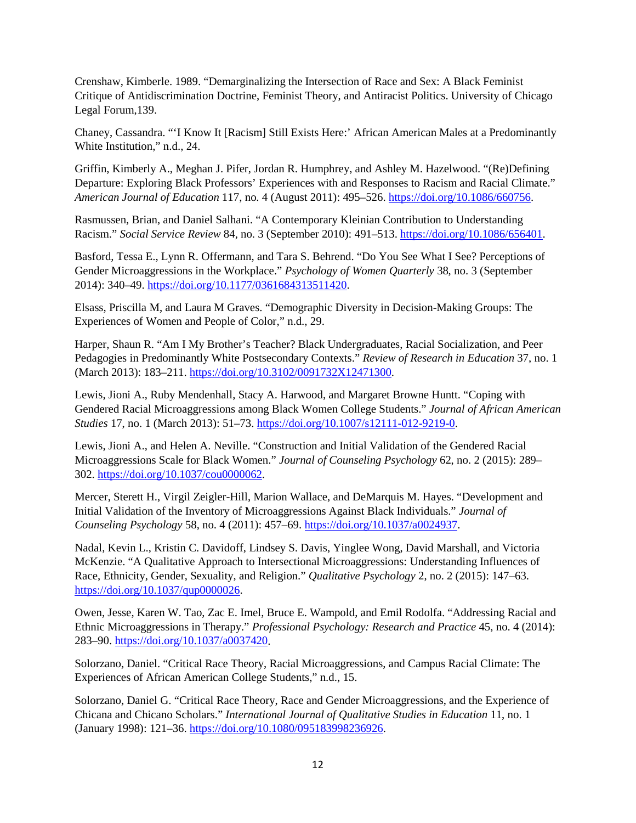Crenshaw, Kimberle. 1989. "Demarginalizing the Intersection of Race and Sex: A Black Feminist Critique of Antidiscrimination Doctrine, Feminist Theory, and Antiracist Politics. University of Chicago Legal Forum,139.

Chaney, Cassandra. "'I Know It [Racism] Still Exists Here:' African American Males at a Predominantly White Institution," n.d., 24.

Griffin, Kimberly A., Meghan J. Pifer, Jordan R. Humphrey, and Ashley M. Hazelwood. "(Re)Defining Departure: Exploring Black Professors' Experiences with and Responses to Racism and Racial Climate." *American Journal of Education* 117, no. 4 (August 2011): 495–526. [https://doi.org/10.1086/660756.](https://doi.org/10.1086/660756)

Rasmussen, Brian, and Daniel Salhani. "A Contemporary Kleinian Contribution to Understanding Racism." *Social Service Review* 84, no. 3 (September 2010): 491–513. [https://doi.org/10.1086/656401.](https://doi.org/10.1086/656401)

Basford, Tessa E., Lynn R. Offermann, and Tara S. Behrend. "Do You See What I See? Perceptions of Gender Microaggressions in the Workplace." *Psychology of Women Quarterly* 38, no. 3 (September 2014): 340–49. [https://doi.org/10.1177/0361684313511420.](https://doi.org/10.1177/0361684313511420)

Elsass, Priscilla M, and Laura M Graves. "Demographic Diversity in Decision-Making Groups: The Experiences of Women and People of Color," n.d., 29.

Harper, Shaun R. "Am I My Brother's Teacher? Black Undergraduates, Racial Socialization, and Peer Pedagogies in Predominantly White Postsecondary Contexts." *Review of Research in Education* 37, no. 1 (March 2013): 183–211. [https://doi.org/10.3102/0091732X12471300.](https://doi.org/10.3102/0091732X12471300)

Lewis, Jioni A., Ruby Mendenhall, Stacy A. Harwood, and Margaret Browne Huntt. "Coping with Gendered Racial Microaggressions among Black Women College Students." *Journal of African American Studies* 17, no. 1 (March 2013): 51–73. [https://doi.org/10.1007/s12111-012-9219-0.](https://doi.org/10.1007/s12111-012-9219-0)

Lewis, Jioni A., and Helen A. Neville. "Construction and Initial Validation of the Gendered Racial Microaggressions Scale for Black Women." *Journal of Counseling Psychology* 62, no. 2 (2015): 289– 302. [https://doi.org/10.1037/cou0000062.](https://doi.org/10.1037/cou0000062)

Mercer, Sterett H., Virgil Zeigler-Hill, Marion Wallace, and DeMarquis M. Hayes. "Development and Initial Validation of the Inventory of Microaggressions Against Black Individuals." *Journal of Counseling Psychology* 58, no. 4 (2011): 457–69. [https://doi.org/10.1037/a0024937.](https://doi.org/10.1037/a0024937)

Nadal, Kevin L., Kristin C. Davidoff, Lindsey S. Davis, Yinglee Wong, David Marshall, and Victoria McKenzie. "A Qualitative Approach to Intersectional Microaggressions: Understanding Influences of Race, Ethnicity, Gender, Sexuality, and Religion." *Qualitative Psychology* 2, no. 2 (2015): 147–63. [https://doi.org/10.1037/qup0000026.](https://doi.org/10.1037/qup0000026)

Owen, Jesse, Karen W. Tao, Zac E. Imel, Bruce E. Wampold, and Emil Rodolfa. "Addressing Racial and Ethnic Microaggressions in Therapy." *Professional Psychology: Research and Practice* 45, no. 4 (2014): 283–90. [https://doi.org/10.1037/a0037420.](https://doi.org/10.1037/a0037420)

Solorzano, Daniel. "Critical Race Theory, Racial Microaggressions, and Campus Racial Climate: The Experiences of African American College Students," n.d., 15.

Solorzano, Daniel G. "Critical Race Theory, Race and Gender Microaggressions, and the Experience of Chicana and Chicano Scholars." *International Journal of Qualitative Studies in Education* 11, no. 1 (January 1998): 121–36. [https://doi.org/10.1080/095183998236926.](https://doi.org/10.1080/095183998236926)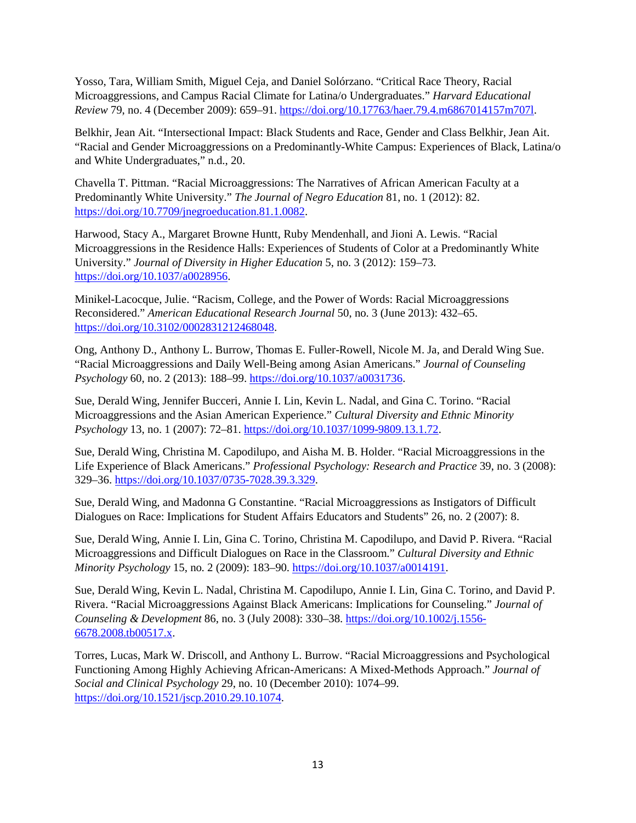Yosso, Tara, William Smith, Miguel Ceja, and Daniel Solórzano. "Critical Race Theory, Racial Microaggressions, and Campus Racial Climate for Latina/o Undergraduates." *Harvard Educational Review* 79, no. 4 (December 2009): 659–91. [https://doi.org/10.17763/haer.79.4.m6867014157m707l.](https://doi.org/10.17763/haer.79.4.m6867014157m707l)

Belkhir, Jean Ait. "Intersectional Impact: Black Students and Race, Gender and Class Belkhir, Jean Ait. "Racial and Gender Microaggressions on a Predominantly-White Campus: Experiences of Black, Latina/o and White Undergraduates," n.d., 20.

Chavella T. Pittman. "Racial Microaggressions: The Narratives of African American Faculty at a Predominantly White University." *The Journal of Negro Education* 81, no. 1 (2012): 82. [https://doi.org/10.7709/jnegroeducation.81.1.0082.](https://doi.org/10.7709/jnegroeducation.81.1.0082)

Harwood, Stacy A., Margaret Browne Huntt, Ruby Mendenhall, and Jioni A. Lewis. "Racial Microaggressions in the Residence Halls: Experiences of Students of Color at a Predominantly White University." *Journal of Diversity in Higher Education* 5, no. 3 (2012): 159–73. [https://doi.org/10.1037/a0028956.](https://doi.org/10.1037/a0028956)

Minikel-Lacocque, Julie. "Racism, College, and the Power of Words: Racial Microaggressions Reconsidered." *American Educational Research Journal* 50, no. 3 (June 2013): 432–65. [https://doi.org/10.3102/0002831212468048.](https://doi.org/10.3102/0002831212468048)

Ong, Anthony D., Anthony L. Burrow, Thomas E. Fuller-Rowell, Nicole M. Ja, and Derald Wing Sue. "Racial Microaggressions and Daily Well-Being among Asian Americans." *Journal of Counseling Psychology* 60, no. 2 (2013): 188–99. [https://doi.org/10.1037/a0031736.](https://doi.org/10.1037/a0031736)

Sue, Derald Wing, Jennifer Bucceri, Annie I. Lin, Kevin L. Nadal, and Gina C. Torino. "Racial Microaggressions and the Asian American Experience." *Cultural Diversity and Ethnic Minority Psychology* 13, no. 1 (2007): 72–81. [https://doi.org/10.1037/1099-9809.13.1.72.](https://doi.org/10.1037/1099-9809.13.1.72)

Sue, Derald Wing, Christina M. Capodilupo, and Aisha M. B. Holder. "Racial Microaggressions in the Life Experience of Black Americans." *Professional Psychology: Research and Practice* 39, no. 3 (2008): 329–36. [https://doi.org/10.1037/0735-7028.39.3.329.](https://doi.org/10.1037/0735-7028.39.3.329)

Sue, Derald Wing, and Madonna G Constantine. "Racial Microaggressions as Instigators of Difficult Dialogues on Race: Implications for Student Affairs Educators and Students" 26, no. 2 (2007): 8.

Sue, Derald Wing, Annie I. Lin, Gina C. Torino, Christina M. Capodilupo, and David P. Rivera. "Racial Microaggressions and Difficult Dialogues on Race in the Classroom." *Cultural Diversity and Ethnic Minority Psychology* 15, no. 2 (2009): 183–90. [https://doi.org/10.1037/a0014191.](https://doi.org/10.1037/a0014191)

Sue, Derald Wing, Kevin L. Nadal, Christina M. Capodilupo, Annie I. Lin, Gina C. Torino, and David P. Rivera. "Racial Microaggressions Against Black Americans: Implications for Counseling." *Journal of Counseling & Development* 86, no. 3 (July 2008): 330–38. [https://doi.org/10.1002/j.1556-](https://doi.org/10.1002/j.1556-6678.2008.tb00517.x) [6678.2008.tb00517.x.](https://doi.org/10.1002/j.1556-6678.2008.tb00517.x)

Torres, Lucas, Mark W. Driscoll, and Anthony L. Burrow. "Racial Microaggressions and Psychological Functioning Among Highly Achieving African-Americans: A Mixed-Methods Approach." *Journal of Social and Clinical Psychology* 29, no. 10 (December 2010): 1074–99. [https://doi.org/10.1521/jscp.2010.29.10.1074.](https://doi.org/10.1521/jscp.2010.29.10.1074)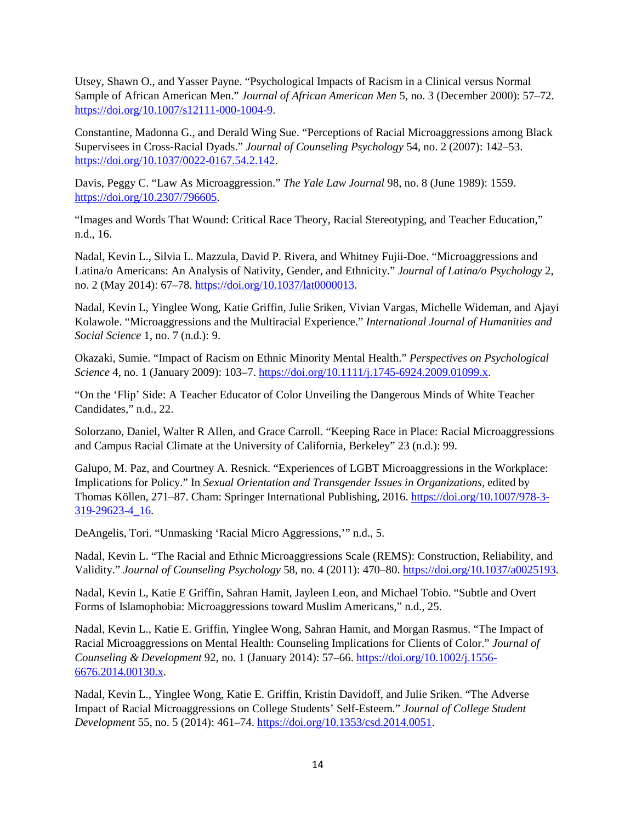Utsey, Shawn O., and Yasser Payne. "Psychological Impacts of Racism in a Clinical versus Normal Sample of African American Men." *Journal of African American Men* 5, no. 3 (December 2000): 57–72. [https://doi.org/10.1007/s12111-000-1004-9.](https://doi.org/10.1007/s12111-000-1004-9)

Constantine, Madonna G., and Derald Wing Sue. "Perceptions of Racial Microaggressions among Black Supervisees in Cross-Racial Dyads." *Journal of Counseling Psychology* 54, no. 2 (2007): 142–53. [https://doi.org/10.1037/0022-0167.54.2.142.](https://doi.org/10.1037/0022-0167.54.2.142)

Davis, Peggy C. "Law As Microaggression." *The Yale Law Journal* 98, no. 8 (June 1989): 1559. [https://doi.org/10.2307/796605.](https://doi.org/10.2307/796605)

"Images and Words That Wound: Critical Race Theory, Racial Stereotyping, and Teacher Education," n.d., 16.

Nadal, Kevin L., Silvia L. Mazzula, David P. Rivera, and Whitney Fujii-Doe. "Microaggressions and Latina/o Americans: An Analysis of Nativity, Gender, and Ethnicity." *Journal of Latina/o Psychology* 2, no. 2 (May 2014): 67–78. [https://doi.org/10.1037/lat0000013.](https://doi.org/10.1037/lat0000013)

Nadal, Kevin L, Yinglee Wong, Katie Griffin, Julie Sriken, Vivian Vargas, Michelle Wideman, and Ajayi Kolawole. "Microaggressions and the Multiracial Experience." *International Journal of Humanities and Social Science* 1, no. 7 (n.d.): 9.

Okazaki, Sumie. "Impact of Racism on Ethnic Minority Mental Health." *Perspectives on Psychological Science* 4, no. 1 (January 2009): 103–7. [https://doi.org/10.1111/j.1745-6924.2009.01099.x.](https://doi.org/10.1111/j.1745-6924.2009.01099.x)

"On the 'Flip' Side: A Teacher Educator of Color Unveiling the Dangerous Minds of White Teacher Candidates," n.d., 22.

Solorzano, Daniel, Walter R Allen, and Grace Carroll. "Keeping Race in Place: Racial Microaggressions and Campus Racial Climate at the University of California, Berkeley" 23 (n.d.): 99.

Galupo, M. Paz, and Courtney A. Resnick. "Experiences of LGBT Microaggressions in the Workplace: Implications for Policy." In *Sexual Orientation and Transgender Issues in Organizations*, edited by Thomas Köllen, 271–87. Cham: Springer International Publishing, 2016. [https://doi.org/10.1007/978-3-](https://doi.org/10.1007/978-3-319-29623-4_16) [319-29623-4\\_16.](https://doi.org/10.1007/978-3-319-29623-4_16)

DeAngelis, Tori. "Unmasking 'Racial Micro Aggressions,'" n.d., 5.

Nadal, Kevin L. "The Racial and Ethnic Microaggressions Scale (REMS): Construction, Reliability, and Validity." *Journal of Counseling Psychology* 58, no. 4 (2011): 470–80. [https://doi.org/10.1037/a0025193.](https://doi.org/10.1037/a0025193)

Nadal, Kevin L, Katie E Griffin, Sahran Hamit, Jayleen Leon, and Michael Tobio. "Subtle and Overt Forms of Islamophobia: Microaggressions toward Muslim Americans," n.d., 25.

Nadal, Kevin L., Katie E. Griffin, Yinglee Wong, Sahran Hamit, and Morgan Rasmus. "The Impact of Racial Microaggressions on Mental Health: Counseling Implications for Clients of Color." *Journal of Counseling & Development* 92, no. 1 (January 2014): 57–66. [https://doi.org/10.1002/j.1556-](https://doi.org/10.1002/j.1556-6676.2014.00130.x) [6676.2014.00130.x.](https://doi.org/10.1002/j.1556-6676.2014.00130.x)

Nadal, Kevin L., Yinglee Wong, Katie E. Griffin, Kristin Davidoff, and Julie Sriken. "The Adverse Impact of Racial Microaggressions on College Students' Self-Esteem." *Journal of College Student Development* 55, no. 5 (2014): 461–74[. https://doi.org/10.1353/csd.2014.0051.](https://doi.org/10.1353/csd.2014.0051)